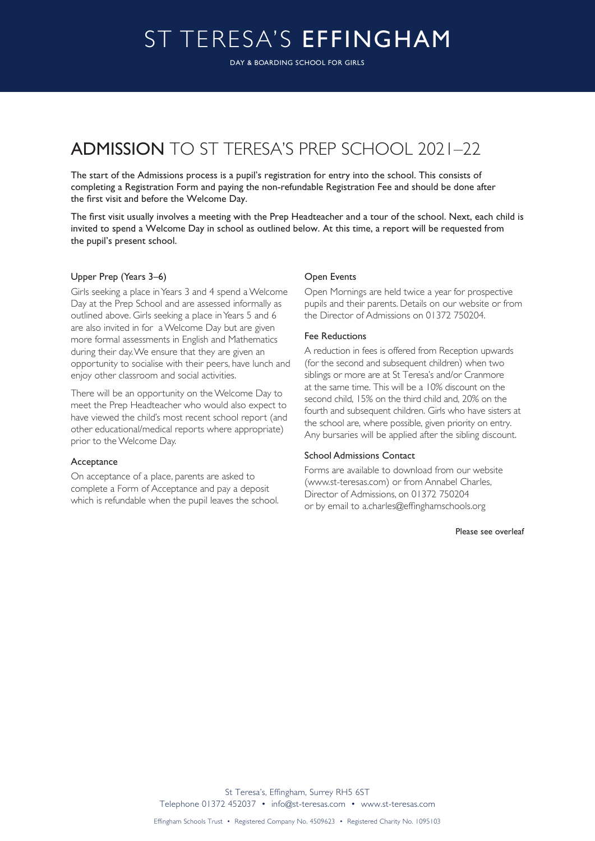# ST TERESA'S EFFINGHAM

DAY & BOARDING SCHOOL FOR GIRLS

## ADMISSION TO ST TERESA'S PREP SCHOOL 2021–22

The start of the Admissions process is a pupil's registration for entry into the school. This consists of completing a Registration Form and paying the non-refundable Registration Fee and should be done after the first visit and before the Welcome Day.

The first visit usually involves a meeting with the Prep Headteacher and a tour of the school. Next, each child is invited to spend a Welcome Day in school as outlined below. At this time, a report will be requested from the pupil's present school.

#### Upper Prep (Years 3–6)

Girls seeking a place in Years 3 and 4 spend a Welcome Day at the Prep School and are assessed informally as outlined above. Girls seeking a place in Years 5 and 6 are also invited in for a Welcome Day but are given more formal assessments in English and Mathematics during their day. We ensure that they are given an opportunity to socialise with their peers, have lunch and enjoy other classroom and social activities.

There will be an opportunity on the Welcome Day to meet the Prep Headteacher who would also expect to have viewed the child's most recent school report (and other educational/medical reports where appropriate) prior to the Welcome Day.

#### Acceptance

On acceptance of a place, parents are asked to complete a Form of Acceptance and pay a deposit which is refundable when the pupil leaves the school.

#### Open Events

Open Mornings are held twice a year for prospective pupils and their parents. Details on our website or from the Director of Admissions on 01372 750204.

#### Fee Reductions

A reduction in fees is offered from Reception upwards (for the second and subsequent children) when two siblings or more are at St Teresa's and/or Cranmore at the same time. This will be a 10% discount on the second child, 15% on the third child and, 20% on the fourth and subsequent children. Girls who have sisters at the school are, where possible, given priority on entry. Any bursaries will be applied after the sibling discount.

#### School Admissions Contact

Forms are available to download from our website (www.st-teresas.com) or from Annabel Charles, Director of Admissions, on 01372 750204 or by email to a.charles@effinghamschools.org

Please see overleaf

St Teresa's, Effingham, Surrey RH5 6ST Telephone 01372 452037 • info@st-teresas.com • www.st-teresas.com